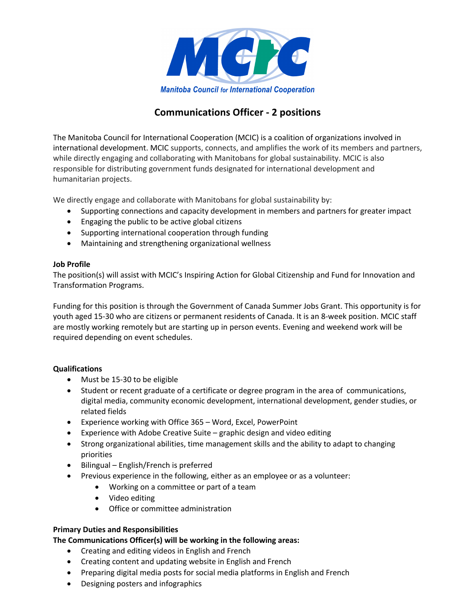

# **Communications Officer - 2 positions**

The Manitoba Council for International Cooperation (MCIC) is a coalition of organizations involved in international development. MCIC supports, connects, and amplifies the work of its members and partners, while directly engaging and collaborating with Manitobans for global sustainability. MCIC is also responsible for distributing government funds designated for international development and humanitarian projects.

We directly engage and collaborate with Manitobans for global sustainability by:

- Supporting connections and capacity development in members and partners for greater impact
- Engaging the public to be active global citizens
- Supporting international cooperation through funding
- Maintaining and strengthening organizational wellness

## **Job Profile**

The position(s) will assist with MCIC's Inspiring Action for Global Citizenship and Fund for Innovation and Transformation Programs.

Funding for this position is through the Government of Canada Summer Jobs Grant. This opportunity is for youth aged 15-30 who are citizens or permanent residents of Canada. It is an 8-week position. MCIC staff are mostly working remotely but are starting up in person events. Evening and weekend work will be required depending on event schedules.

# **Qualifications**

- Must be 15-30 to be eligible
- Student or recent graduate of a certificate or degree program in the area of communications, digital media, community economic development, international development, gender studies, or related fields
- Experience working with Office 365 Word, Excel, PowerPoint
- Experience with Adobe Creative Suite graphic design and video editing
- Strong organizational abilities, time management skills and the ability to adapt to changing priorities
- Bilingual English/French is preferred
- Previous experience in the following, either as an employee or as a volunteer:
	- Working on a committee or part of a team
	- Video editing
	- Office or committee administration

# **Primary Duties and Responsibilities**

# **The Communications Officer(s) will be working in the following areas:**

- Creating and editing videos in English and French
- Creating content and updating website in English and French
- Preparing digital media posts for social media platforms in English and French
- Designing posters and infographics